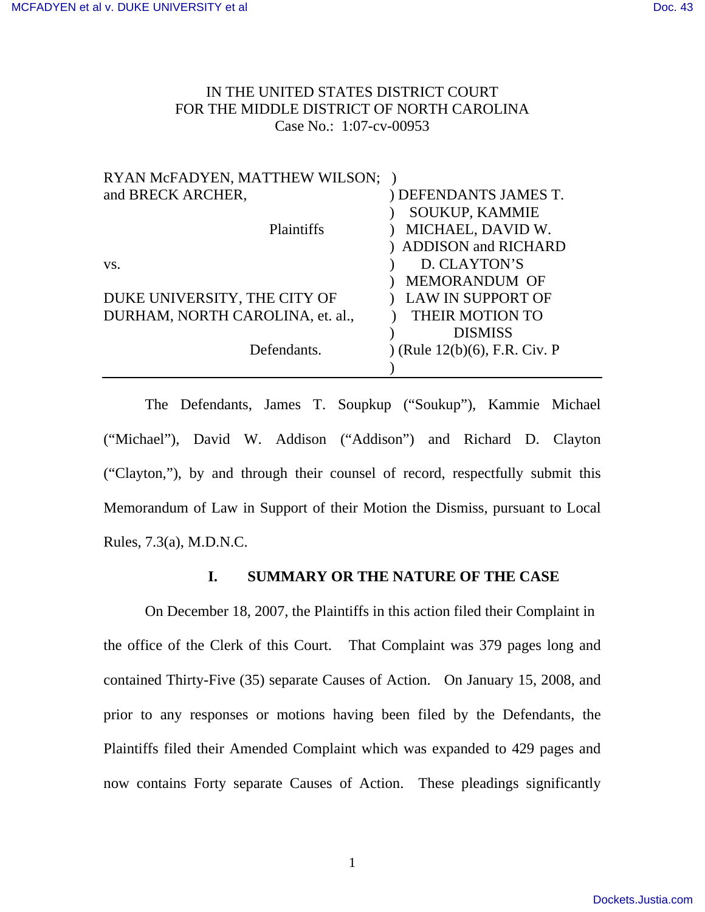# IN THE UNITED STATES DISTRICT COURT FOR THE MIDDLE DISTRICT OF NORTH CAROLINA Case No.: 1:07-cv-00953

| RYAN McFADYEN, MATTHEW WILSON;   |                              |
|----------------------------------|------------------------------|
| and BRECK ARCHER,                | ) DEFENDANTS JAMES T.        |
|                                  | <b>SOUKUP, KAMMIE</b>        |
| <b>Plaintiffs</b>                | MICHAEL, DAVID W.            |
|                                  | ) ADDISON and RICHARD        |
| VS.                              | D. CLAYTON'S                 |
|                                  | MEMORANDUM OF                |
| DUKE UNIVERSITY, THE CITY OF     | <b>LAW IN SUPPORT OF</b>     |
| DURHAM, NORTH CAROLINA, et. al., | THEIR MOTION TO              |
|                                  | <b>DISMISS</b>               |
| Defendants.                      | (Rule 12(b)(6), F.R. Civ. P) |
|                                  |                              |

 The Defendants, James T. Soupkup ("Soukup"), Kammie Michael ("Michael"), David W. Addison ("Addison") and Richard D. Clayton ("Clayton,"), by and through their counsel of record, respectfully submit this Memorandum of Law in Support of their Motion the Dismiss, pursuant to Local Rules, 7.3(a), M.D.N.C.

## **I. SUMMARY OR THE NATURE OF THE CASE**

On December 18, 2007, the Plaintiffs in this action filed their Complaint in the office of the Clerk of this Court. That Complaint was 379 pages long and contained Thirty-Five (35) separate Causes of Action. On January 15, 2008, and prior to any responses or motions having been filed by the Defendants, the Plaintiffs filed their Amended Complaint which was expanded to 429 pages and now contains Forty separate Causes of Action. These pleadings significantly

1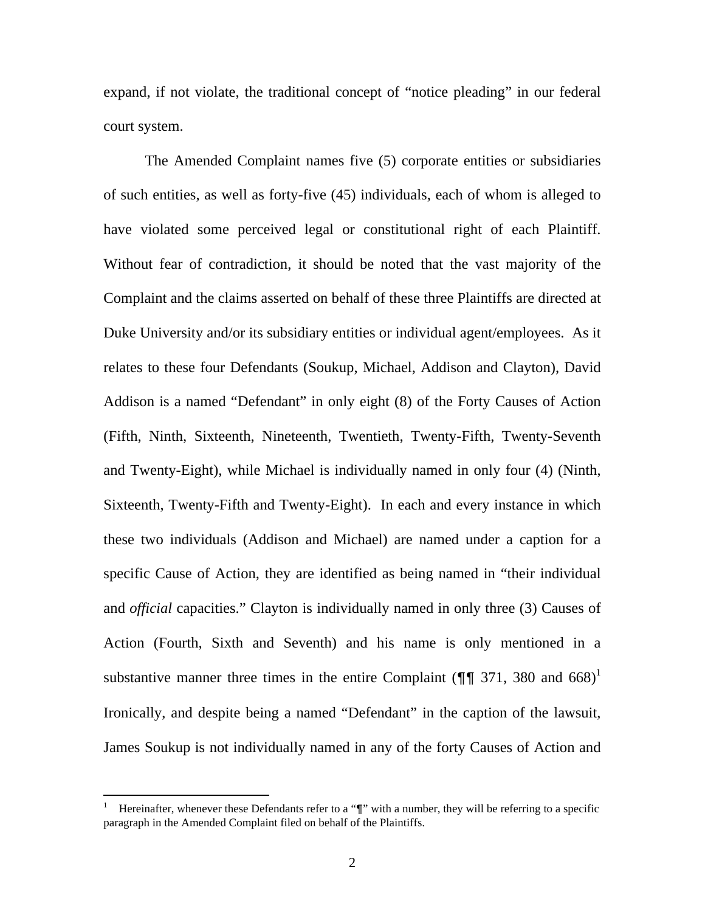expand, if not violate, the traditional concept of "notice pleading" in our federal court system.

The Amended Complaint names five (5) corporate entities or subsidiaries of such entities, as well as forty-five (45) individuals, each of whom is alleged to have violated some perceived legal or constitutional right of each Plaintiff. Without fear of contradiction, it should be noted that the vast majority of the Complaint and the claims asserted on behalf of these three Plaintiffs are directed at Duke University and/or its subsidiary entities or individual agent/employees. As it relates to these four Defendants (Soukup, Michael, Addison and Clayton), David Addison is a named "Defendant" in only eight (8) of the Forty Causes of Action (Fifth, Ninth, Sixteenth, Nineteenth, Twentieth, Twenty-Fifth, Twenty-Seventh and Twenty-Eight), while Michael is individually named in only four (4) (Ninth, Sixteenth, Twenty-Fifth and Twenty-Eight). In each and every instance in which these two individuals (Addison and Michael) are named under a caption for a specific Cause of Action, they are identified as being named in "their individual and *official* capacities." Clayton is individually named in only three (3) Causes of Action (Fourth, Sixth and Seventh) and his name is only mentioned in a substantive manner three times in the entire Complaint ( $\P$  $\P$  371, 380 and 668)<sup>1</sup> Ironically, and despite being a named "Defendant" in the caption of the lawsuit, James Soukup is not individually named in any of the forty Causes of Action and

 $\overline{a}$ 

<sup>1</sup> Hereinafter, whenever these Defendants refer to a "¶" with a number, they will be referring to a specific paragraph in the Amended Complaint filed on behalf of the Plaintiffs.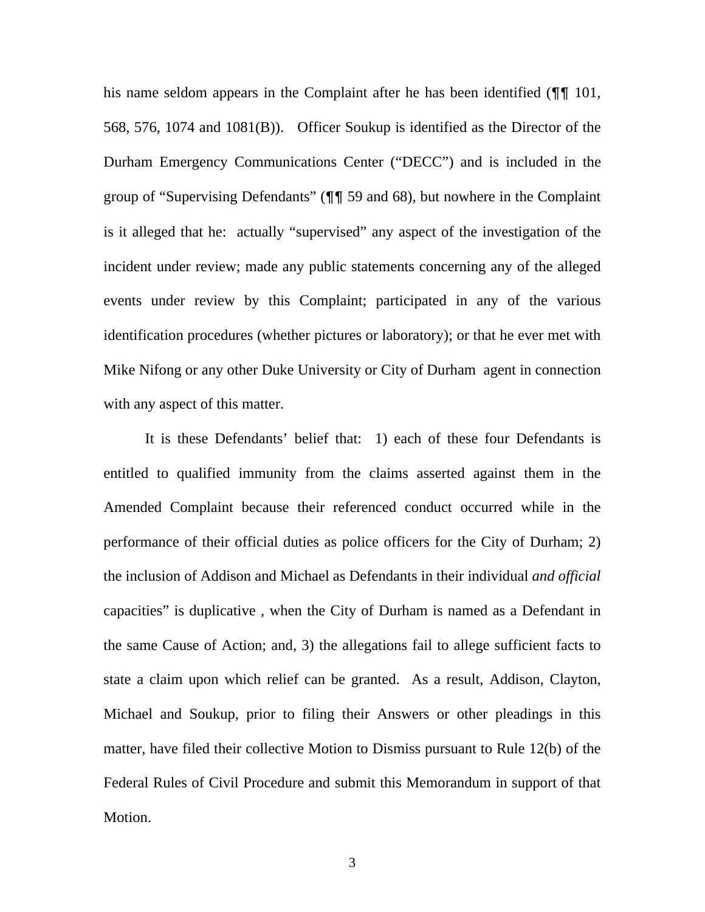his name seldom appears in the Complaint after he has been identified ( $\P$  101, 568, 576, 1074 and 1081(B)). Officer Soukup is identified as the Director of the Durham Emergency Communications Center ("DECC") and is included in the group of "Supervising Defendants" (¶¶ 59 and 68), but nowhere in the Complaint is it alleged that he: actually "supervised" any aspect of the investigation of the incident under review; made any public statements concerning any of the alleged events under review by this Complaint; participated in any of the various identification procedures (whether pictures or laboratory); or that he ever met with Mike Nifong or any other Duke University or City of Durham agent in connection with any aspect of this matter.

It is these Defendants' belief that: 1) each of these four Defendants is entitled to qualified immunity from the claims asserted against them in the Amended Complaint because their referenced conduct occurred while in the performance of their official duties as police officers for the City of Durham; 2) the inclusion of Addison and Michael as Defendants in their individual *and official*  capacities" is duplicative , when the City of Durham is named as a Defendant in the same Cause of Action; and, 3) the allegations fail to allege sufficient facts to state a claim upon which relief can be granted. As a result, Addison, Clayton, Michael and Soukup, prior to filing their Answers or other pleadings in this matter, have filed their collective Motion to Dismiss pursuant to Rule 12(b) of the Federal Rules of Civil Procedure and submit this Memorandum in support of that Motion.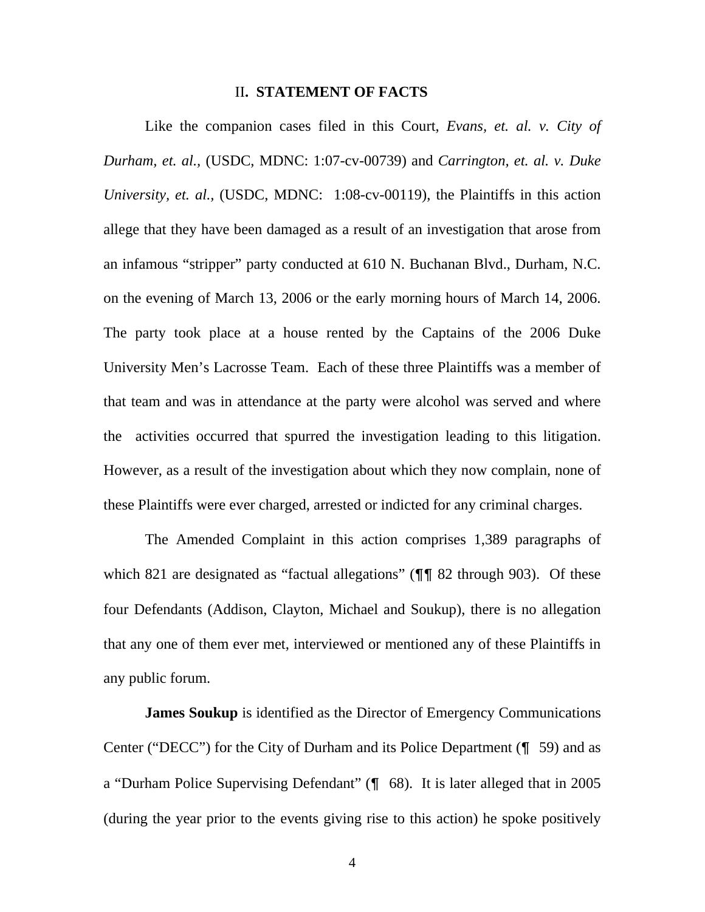#### II**. STATEMENT OF FACTS**

Like the companion cases filed in this Court, *Evans, et. al. v. City of Durham, et. al.,* (USDC, MDNC: 1:07-cv-00739) and *Carrington, et. al. v. Duke University, et. al.,* (USDC, MDNC: 1:08-cv-00119), the Plaintiffs in this action allege that they have been damaged as a result of an investigation that arose from an infamous "stripper" party conducted at 610 N. Buchanan Blvd., Durham, N.C. on the evening of March 13, 2006 or the early morning hours of March 14, 2006. The party took place at a house rented by the Captains of the 2006 Duke University Men's Lacrosse Team. Each of these three Plaintiffs was a member of that team and was in attendance at the party were alcohol was served and where the activities occurred that spurred the investigation leading to this litigation. However, as a result of the investigation about which they now complain, none of these Plaintiffs were ever charged, arrested or indicted for any criminal charges.

The Amended Complaint in this action comprises 1,389 paragraphs of which 821 are designated as "factual allegations" ( $\P$  \meta 82 through 903). Of these four Defendants (Addison, Clayton, Michael and Soukup), there is no allegation that any one of them ever met, interviewed or mentioned any of these Plaintiffs in any public forum.

**James Soukup** is identified as the Director of Emergency Communications Center ("DECC") for the City of Durham and its Police Department (¶ 59) and as a "Durham Police Supervising Defendant" (¶ 68). It is later alleged that in 2005 (during the year prior to the events giving rise to this action) he spoke positively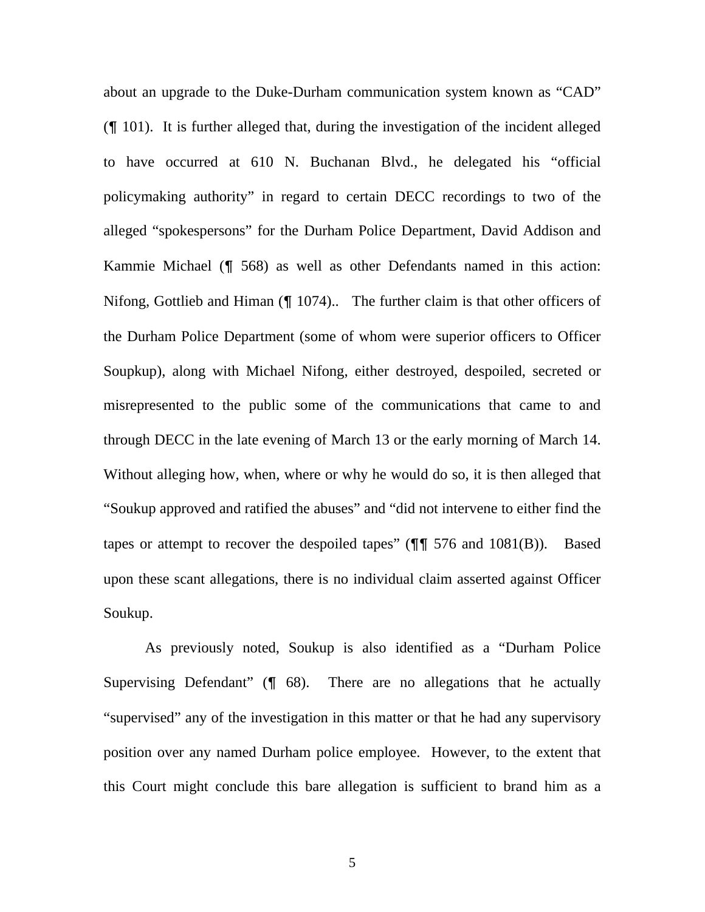about an upgrade to the Duke-Durham communication system known as "CAD" (¶ 101). It is further alleged that, during the investigation of the incident alleged to have occurred at 610 N. Buchanan Blvd., he delegated his "official policymaking authority" in regard to certain DECC recordings to two of the alleged "spokespersons" for the Durham Police Department, David Addison and Kammie Michael (¶ 568) as well as other Defendants named in this action: Nifong, Gottlieb and Himan (¶ 1074).. The further claim is that other officers of the Durham Police Department (some of whom were superior officers to Officer Soupkup), along with Michael Nifong, either destroyed, despoiled, secreted or misrepresented to the public some of the communications that came to and through DECC in the late evening of March 13 or the early morning of March 14. Without alleging how, when, where or why he would do so, it is then alleged that "Soukup approved and ratified the abuses" and "did not intervene to either find the tapes or attempt to recover the despoiled tapes"  $(\P\P \ 576 \text{ and } 1081(B))$ . Based upon these scant allegations, there is no individual claim asserted against Officer Soukup.

As previously noted, Soukup is also identified as a "Durham Police Supervising Defendant"  $(\sqrt{\ }$  68). There are no allegations that he actually "supervised" any of the investigation in this matter or that he had any supervisory position over any named Durham police employee. However, to the extent that this Court might conclude this bare allegation is sufficient to brand him as a

5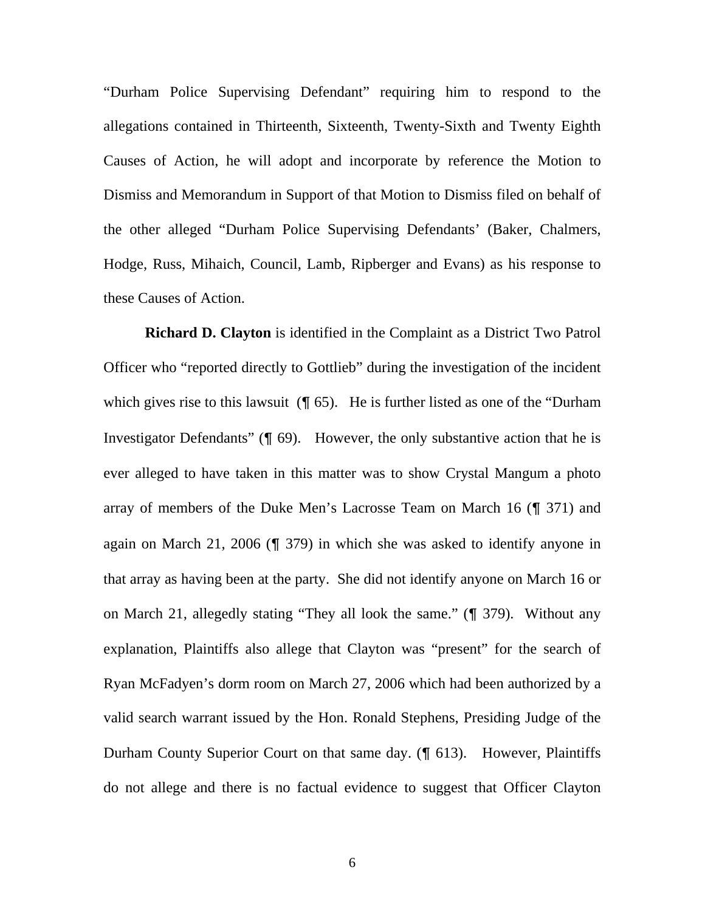"Durham Police Supervising Defendant" requiring him to respond to the allegations contained in Thirteenth, Sixteenth, Twenty-Sixth and Twenty Eighth Causes of Action, he will adopt and incorporate by reference the Motion to Dismiss and Memorandum in Support of that Motion to Dismiss filed on behalf of the other alleged "Durham Police Supervising Defendants' (Baker, Chalmers, Hodge, Russ, Mihaich, Council, Lamb, Ripberger and Evans) as his response to these Causes of Action.

**Richard D. Clayton** is identified in the Complaint as a District Two Patrol Officer who "reported directly to Gottlieb" during the investigation of the incident which gives rise to this lawsuit  $(\P 65)$ . He is further listed as one of the "Durham" Investigator Defendants" (¶ 69). However, the only substantive action that he is ever alleged to have taken in this matter was to show Crystal Mangum a photo array of members of the Duke Men's Lacrosse Team on March 16 (¶ 371) and again on March 21, 2006 (¶ 379) in which she was asked to identify anyone in that array as having been at the party. She did not identify anyone on March 16 or on March 21, allegedly stating "They all look the same." (¶ 379). Without any explanation, Plaintiffs also allege that Clayton was "present" for the search of Ryan McFadyen's dorm room on March 27, 2006 which had been authorized by a valid search warrant issued by the Hon. Ronald Stephens, Presiding Judge of the Durham County Superior Court on that same day. (¶ 613). However, Plaintiffs do not allege and there is no factual evidence to suggest that Officer Clayton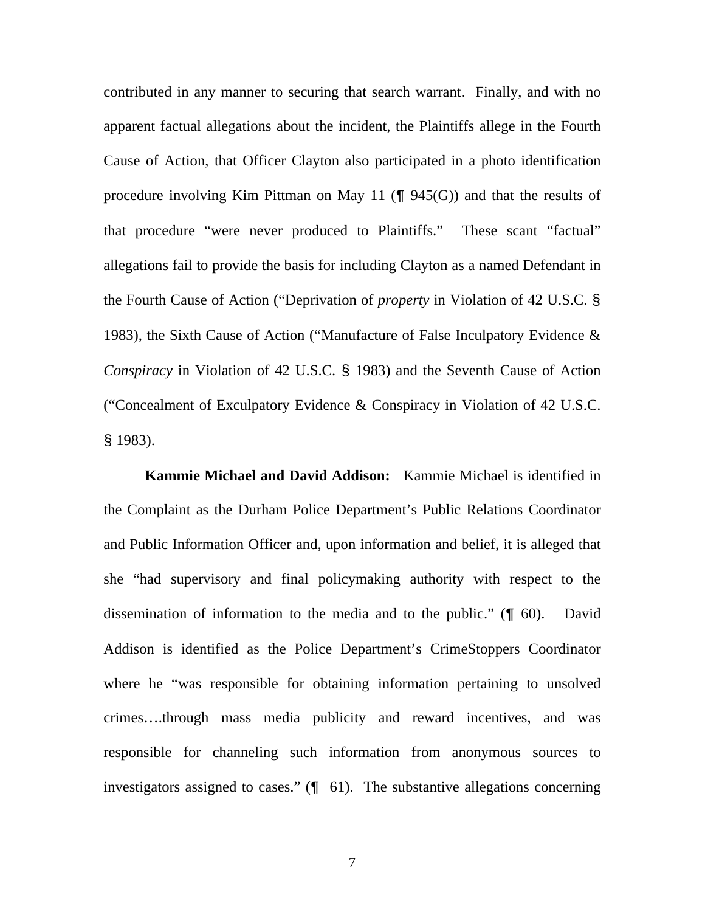contributed in any manner to securing that search warrant. Finally, and with no apparent factual allegations about the incident, the Plaintiffs allege in the Fourth Cause of Action, that Officer Clayton also participated in a photo identification procedure involving Kim Pittman on May 11 ( $\P$  945(G)) and that the results of that procedure "were never produced to Plaintiffs." These scant "factual" allegations fail to provide the basis for including Clayton as a named Defendant in the Fourth Cause of Action ("Deprivation of *property* in Violation of 42 U.S.C. § 1983), the Sixth Cause of Action ("Manufacture of False Inculpatory Evidence & *Conspiracy* in Violation of 42 U.S.C. § 1983) and the Seventh Cause of Action ("Concealment of Exculpatory Evidence & Conspiracy in Violation of 42 U.S.C. § 1983).

**Kammie Michael and David Addison:** Kammie Michael is identified in the Complaint as the Durham Police Department's Public Relations Coordinator and Public Information Officer and, upon information and belief, it is alleged that she "had supervisory and final policymaking authority with respect to the dissemination of information to the media and to the public." (¶ 60). David Addison is identified as the Police Department's CrimeStoppers Coordinator where he "was responsible for obtaining information pertaining to unsolved crimes….through mass media publicity and reward incentives, and was responsible for channeling such information from anonymous sources to investigators assigned to cases." (¶ 61). The substantive allegations concerning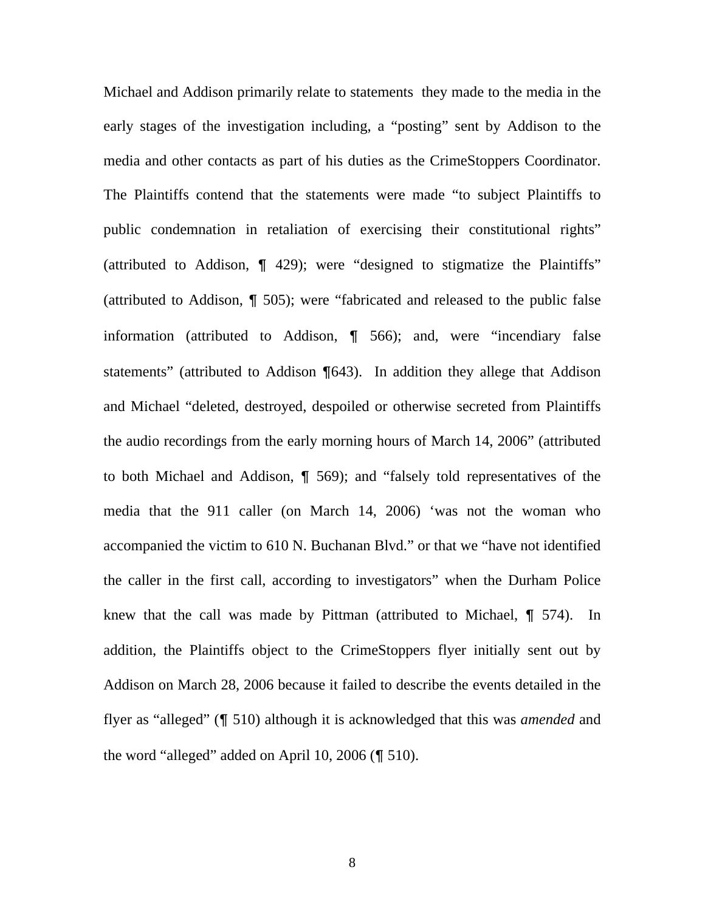Michael and Addison primarily relate to statements they made to the media in the early stages of the investigation including, a "posting" sent by Addison to the media and other contacts as part of his duties as the CrimeStoppers Coordinator. The Plaintiffs contend that the statements were made "to subject Plaintiffs to public condemnation in retaliation of exercising their constitutional rights" (attributed to Addison, ¶ 429); were "designed to stigmatize the Plaintiffs" (attributed to Addison, ¶ 505); were "fabricated and released to the public false information (attributed to Addison, ¶ 566); and, were "incendiary false statements" (attributed to Addison ¶643). In addition they allege that Addison and Michael "deleted, destroyed, despoiled or otherwise secreted from Plaintiffs the audio recordings from the early morning hours of March 14, 2006" (attributed to both Michael and Addison, ¶ 569); and "falsely told representatives of the media that the 911 caller (on March 14, 2006) 'was not the woman who accompanied the victim to 610 N. Buchanan Blvd." or that we "have not identified the caller in the first call, according to investigators" when the Durham Police knew that the call was made by Pittman (attributed to Michael, ¶ 574). In addition, the Plaintiffs object to the CrimeStoppers flyer initially sent out by Addison on March 28, 2006 because it failed to describe the events detailed in the flyer as "alleged" (¶ 510) although it is acknowledged that this was *amended* and the word "alleged" added on April 10, 2006 (¶ 510).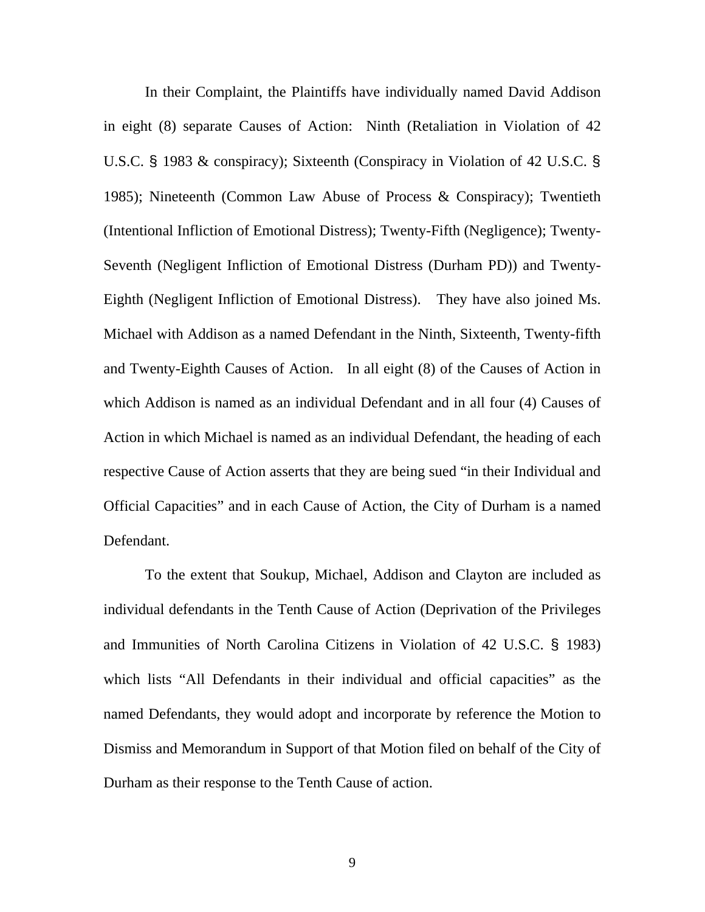In their Complaint, the Plaintiffs have individually named David Addison in eight (8) separate Causes of Action: Ninth (Retaliation in Violation of 42 U.S.C. § 1983 & conspiracy); Sixteenth (Conspiracy in Violation of 42 U.S.C. § 1985); Nineteenth (Common Law Abuse of Process & Conspiracy); Twentieth (Intentional Infliction of Emotional Distress); Twenty-Fifth (Negligence); Twenty-Seventh (Negligent Infliction of Emotional Distress (Durham PD)) and Twenty-Eighth (Negligent Infliction of Emotional Distress). They have also joined Ms. Michael with Addison as a named Defendant in the Ninth, Sixteenth, Twenty-fifth and Twenty-Eighth Causes of Action. In all eight (8) of the Causes of Action in which Addison is named as an individual Defendant and in all four (4) Causes of Action in which Michael is named as an individual Defendant, the heading of each respective Cause of Action asserts that they are being sued "in their Individual and Official Capacities" and in each Cause of Action, the City of Durham is a named Defendant.

 To the extent that Soukup, Michael, Addison and Clayton are included as individual defendants in the Tenth Cause of Action (Deprivation of the Privileges and Immunities of North Carolina Citizens in Violation of 42 U.S.C. § 1983) which lists "All Defendants in their individual and official capacities" as the named Defendants, they would adopt and incorporate by reference the Motion to Dismiss and Memorandum in Support of that Motion filed on behalf of the City of Durham as their response to the Tenth Cause of action.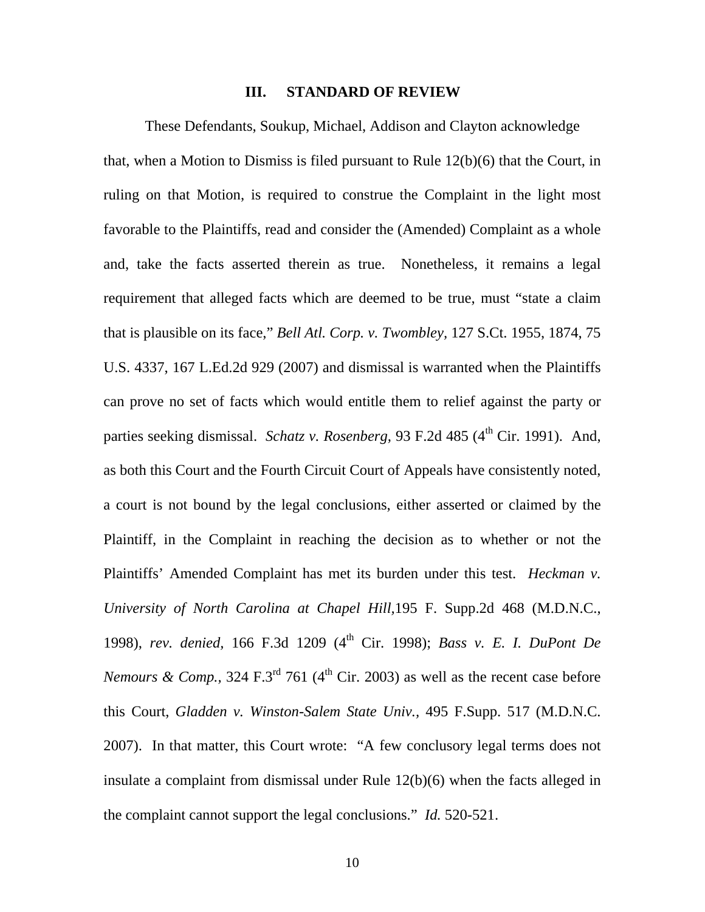#### **III. STANDARD OF REVIEW**

These Defendants, Soukup, Michael, Addison and Clayton acknowledge that, when a Motion to Dismiss is filed pursuant to Rule 12(b)(6) that the Court, in ruling on that Motion, is required to construe the Complaint in the light most favorable to the Plaintiffs, read and consider the (Amended) Complaint as a whole and, take the facts asserted therein as true. Nonetheless, it remains a legal requirement that alleged facts which are deemed to be true, must "state a claim that is plausible on its face," *Bell Atl. Corp. v. Twombley,* 127 S.Ct. 1955, 1874, 75 U.S. 4337, 167 L.Ed.2d 929 (2007) and dismissal is warranted when the Plaintiffs can prove no set of facts which would entitle them to relief against the party or parties seeking dismissal. *Schatz v. Rosenberg*, 93 F.2d 485 (4<sup>th</sup> Cir. 1991). And, as both this Court and the Fourth Circuit Court of Appeals have consistently noted, a court is not bound by the legal conclusions, either asserted or claimed by the Plaintiff, in the Complaint in reaching the decision as to whether or not the Plaintiffs' Amended Complaint has met its burden under this test. *Heckman v. University of North Carolina at Chapel Hill,*195 F. Supp.2d 468 (M.D.N.C., 1998), *rev. denied,* 166 F.3d 1209 (4th Cir. 1998); *Bass v. E. I. DuPont De Nemours & Comp.,* 324 F.3<sup>rd</sup> 761 (4<sup>th</sup> Cir. 2003) as well as the recent case before this Court, *Gladden v. Winston-Salem State Univ.,* 495 F.Supp. 517 (M.D.N.C. 2007). In that matter, this Court wrote: "A few conclusory legal terms does not insulate a complaint from dismissal under Rule 12(b)(6) when the facts alleged in the complaint cannot support the legal conclusions." *Id.* 520-521.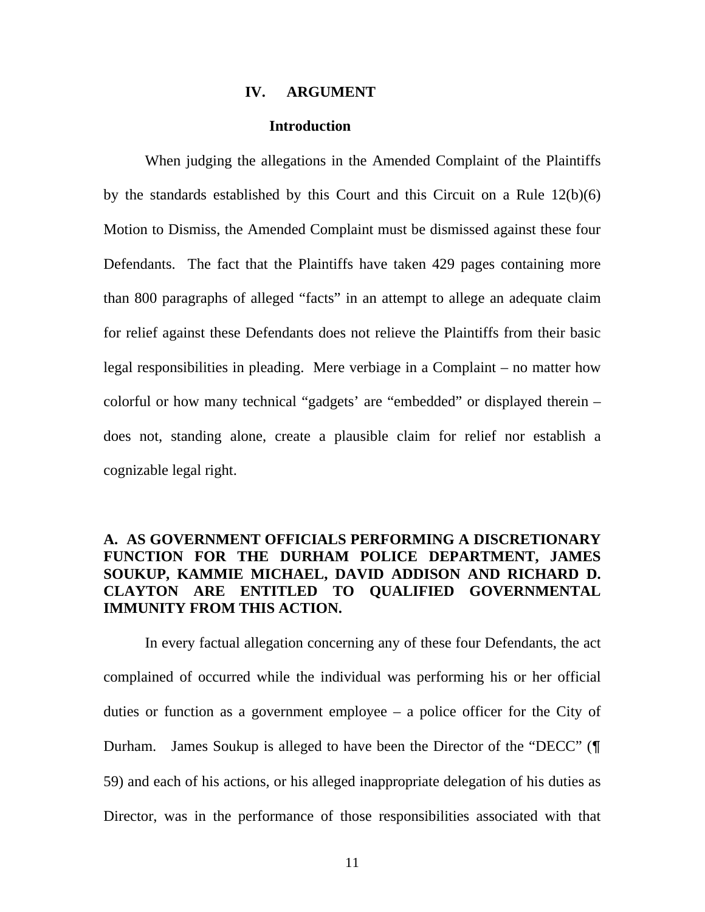#### **IV. ARGUMENT**

#### **Introduction**

When judging the allegations in the Amended Complaint of the Plaintiffs by the standards established by this Court and this Circuit on a Rule 12(b)(6) Motion to Dismiss, the Amended Complaint must be dismissed against these four Defendants. The fact that the Plaintiffs have taken 429 pages containing more than 800 paragraphs of alleged "facts" in an attempt to allege an adequate claim for relief against these Defendants does not relieve the Plaintiffs from their basic legal responsibilities in pleading. Mere verbiage in a Complaint – no matter how colorful or how many technical "gadgets' are "embedded" or displayed therein – does not, standing alone, create a plausible claim for relief nor establish a cognizable legal right.

# **A. AS GOVERNMENT OFFICIALS PERFORMING A DISCRETIONARY FUNCTION FOR THE DURHAM POLICE DEPARTMENT, JAMES SOUKUP, KAMMIE MICHAEL, DAVID ADDISON AND RICHARD D. CLAYTON ARE ENTITLED TO QUALIFIED GOVERNMENTAL IMMUNITY FROM THIS ACTION.**

 In every factual allegation concerning any of these four Defendants, the act complained of occurred while the individual was performing his or her official duties or function as a government employee – a police officer for the City of Durham. James Soukup is alleged to have been the Director of the "DECC" (¶ 59) and each of his actions, or his alleged inappropriate delegation of his duties as Director, was in the performance of those responsibilities associated with that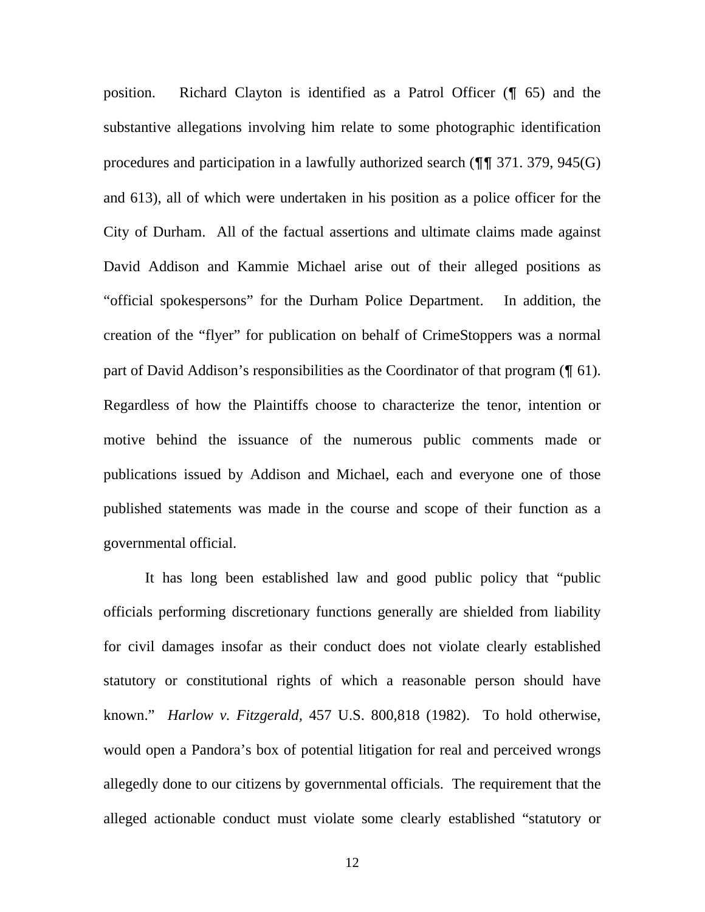position. Richard Clayton is identified as a Patrol Officer (¶ 65) and the substantive allegations involving him relate to some photographic identification procedures and participation in a lawfully authorized search (¶¶ 371. 379, 945(G) and 613), all of which were undertaken in his position as a police officer for the City of Durham. All of the factual assertions and ultimate claims made against David Addison and Kammie Michael arise out of their alleged positions as "official spokespersons" for the Durham Police Department. In addition, the creation of the "flyer" for publication on behalf of CrimeStoppers was a normal part of David Addison's responsibilities as the Coordinator of that program (¶ 61). Regardless of how the Plaintiffs choose to characterize the tenor, intention or motive behind the issuance of the numerous public comments made or publications issued by Addison and Michael, each and everyone one of those published statements was made in the course and scope of their function as a governmental official.

 It has long been established law and good public policy that "public officials performing discretionary functions generally are shielded from liability for civil damages insofar as their conduct does not violate clearly established statutory or constitutional rights of which a reasonable person should have known." *Harlow v. Fitzgerald,* 457 U.S. 800,818 (1982). To hold otherwise, would open a Pandora's box of potential litigation for real and perceived wrongs allegedly done to our citizens by governmental officials. The requirement that the alleged actionable conduct must violate some clearly established "statutory or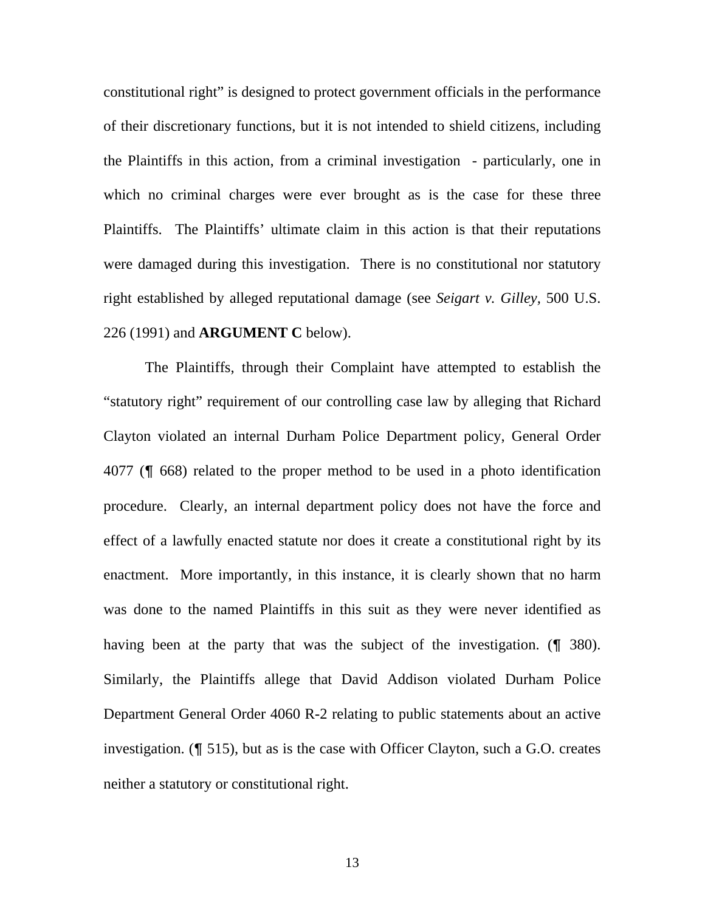constitutional right" is designed to protect government officials in the performance of their discretionary functions, but it is not intended to shield citizens, including the Plaintiffs in this action, from a criminal investigation - particularly, one in which no criminal charges were ever brought as is the case for these three Plaintiffs. The Plaintiffs' ultimate claim in this action is that their reputations were damaged during this investigation. There is no constitutional nor statutory right established by alleged reputational damage (see *Seigart v. Gilley,* 500 U.S. 226 (1991) and **ARGUMENT C** below).

 The Plaintiffs, through their Complaint have attempted to establish the "statutory right" requirement of our controlling case law by alleging that Richard Clayton violated an internal Durham Police Department policy, General Order 4077 (¶ 668) related to the proper method to be used in a photo identification procedure. Clearly, an internal department policy does not have the force and effect of a lawfully enacted statute nor does it create a constitutional right by its enactment. More importantly, in this instance, it is clearly shown that no harm was done to the named Plaintiffs in this suit as they were never identified as having been at the party that was the subject of the investigation. (¶ 380). Similarly, the Plaintiffs allege that David Addison violated Durham Police Department General Order 4060 R-2 relating to public statements about an active investigation. (¶ 515), but as is the case with Officer Clayton, such a G.O. creates neither a statutory or constitutional right.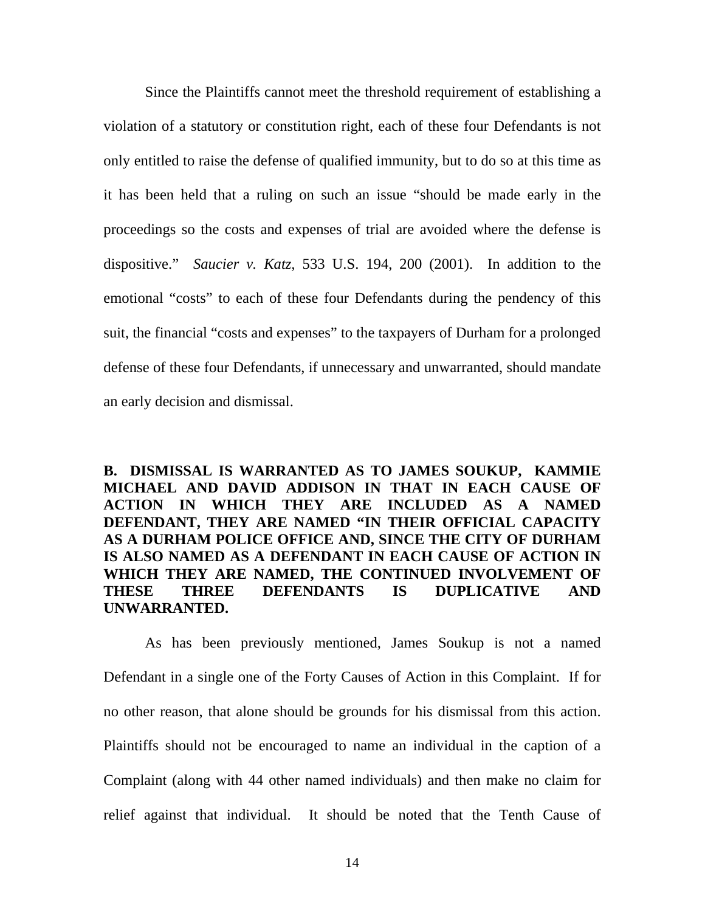Since the Plaintiffs cannot meet the threshold requirement of establishing a violation of a statutory or constitution right, each of these four Defendants is not only entitled to raise the defense of qualified immunity, but to do so at this time as it has been held that a ruling on such an issue "should be made early in the proceedings so the costs and expenses of trial are avoided where the defense is dispositive." *Saucier v. Katz,* 533 U.S. 194, 200 (2001). In addition to the emotional "costs" to each of these four Defendants during the pendency of this suit, the financial "costs and expenses" to the taxpayers of Durham for a prolonged defense of these four Defendants, if unnecessary and unwarranted, should mandate an early decision and dismissal.

**B. DISMISSAL IS WARRANTED AS TO JAMES SOUKUP, KAMMIE MICHAEL AND DAVID ADDISON IN THAT IN EACH CAUSE OF ACTION IN WHICH THEY ARE INCLUDED AS A NAMED DEFENDANT, THEY ARE NAMED "IN THEIR OFFICIAL CAPACITY AS A DURHAM POLICE OFFICE AND, SINCE THE CITY OF DURHAM IS ALSO NAMED AS A DEFENDANT IN EACH CAUSE OF ACTION IN WHICH THEY ARE NAMED, THE CONTINUED INVOLVEMENT OF THESE THREE DEFENDANTS IS DUPLICATIVE AND UNWARRANTED.** 

 As has been previously mentioned, James Soukup is not a named Defendant in a single one of the Forty Causes of Action in this Complaint. If for no other reason, that alone should be grounds for his dismissal from this action. Plaintiffs should not be encouraged to name an individual in the caption of a Complaint (along with 44 other named individuals) and then make no claim for relief against that individual. It should be noted that the Tenth Cause of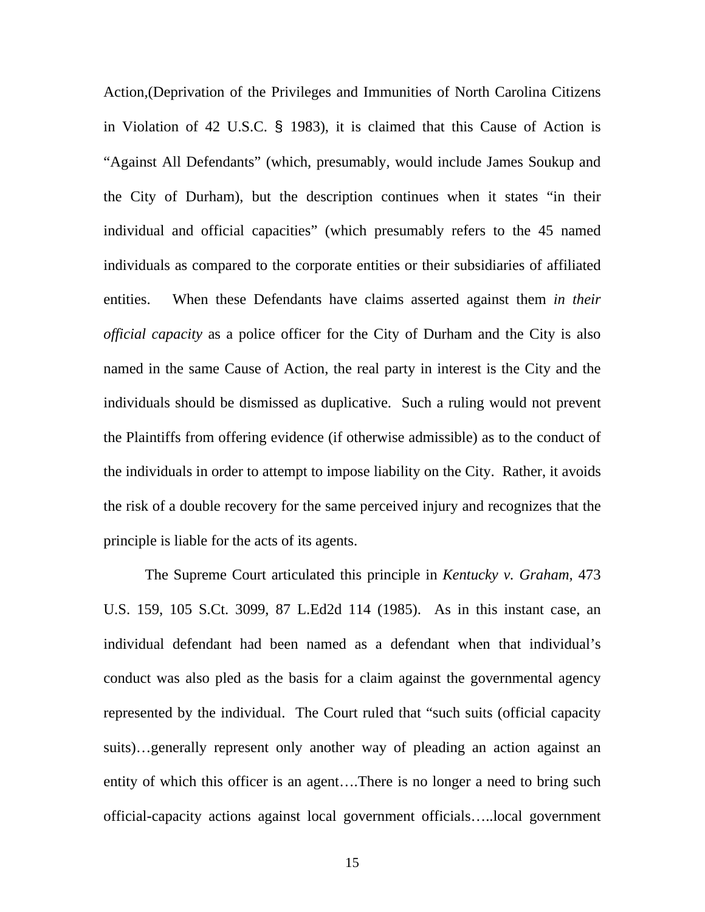Action,(Deprivation of the Privileges and Immunities of North Carolina Citizens in Violation of 42 U.S.C. § 1983), it is claimed that this Cause of Action is "Against All Defendants" (which, presumably, would include James Soukup and the City of Durham), but the description continues when it states "in their individual and official capacities" (which presumably refers to the 45 named individuals as compared to the corporate entities or their subsidiaries of affiliated entities. When these Defendants have claims asserted against them *in their official capacity* as a police officer for the City of Durham and the City is also named in the same Cause of Action, the real party in interest is the City and the individuals should be dismissed as duplicative. Such a ruling would not prevent the Plaintiffs from offering evidence (if otherwise admissible) as to the conduct of the individuals in order to attempt to impose liability on the City. Rather, it avoids the risk of a double recovery for the same perceived injury and recognizes that the principle is liable for the acts of its agents.

 The Supreme Court articulated this principle in *Kentucky v. Graham,* 473 U.S. 159, 105 S.Ct. 3099, 87 L.Ed2d 114 (1985). As in this instant case, an individual defendant had been named as a defendant when that individual's conduct was also pled as the basis for a claim against the governmental agency represented by the individual. The Court ruled that "such suits (official capacity suits)…generally represent only another way of pleading an action against an entity of which this officer is an agent….There is no longer a need to bring such official-capacity actions against local government officials…..local government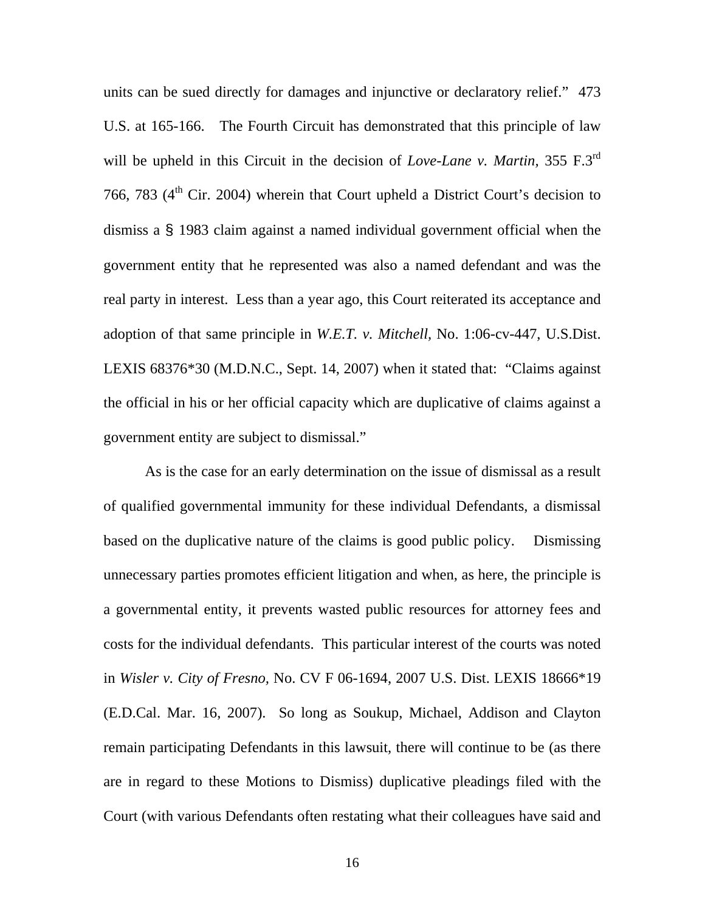units can be sued directly for damages and injunctive or declaratory relief." 473 U.S. at 165-166. The Fourth Circuit has demonstrated that this principle of law will be upheld in this Circuit in the decision of *Love-Lane v. Martin,* 355 F.3rd 766, 783  $(4<sup>th</sup> Cir. 2004)$  wherein that Court upheld a District Court's decision to dismiss a § 1983 claim against a named individual government official when the government entity that he represented was also a named defendant and was the real party in interest. Less than a year ago, this Court reiterated its acceptance and adoption of that same principle in *W.E.T. v. Mitchell,* No. 1:06-cv-447, U.S.Dist. LEXIS 68376\*30 (M.D.N.C., Sept. 14, 2007) when it stated that: "Claims against the official in his or her official capacity which are duplicative of claims against a government entity are subject to dismissal."

 As is the case for an early determination on the issue of dismissal as a result of qualified governmental immunity for these individual Defendants, a dismissal based on the duplicative nature of the claims is good public policy. Dismissing unnecessary parties promotes efficient litigation and when, as here, the principle is a governmental entity, it prevents wasted public resources for attorney fees and costs for the individual defendants. This particular interest of the courts was noted in *Wisler v. City of Fresno,* No. CV F 06-1694, 2007 U.S. Dist. LEXIS 18666\*19 (E.D.Cal. Mar. 16, 2007). So long as Soukup, Michael, Addison and Clayton remain participating Defendants in this lawsuit, there will continue to be (as there are in regard to these Motions to Dismiss) duplicative pleadings filed with the Court (with various Defendants often restating what their colleagues have said and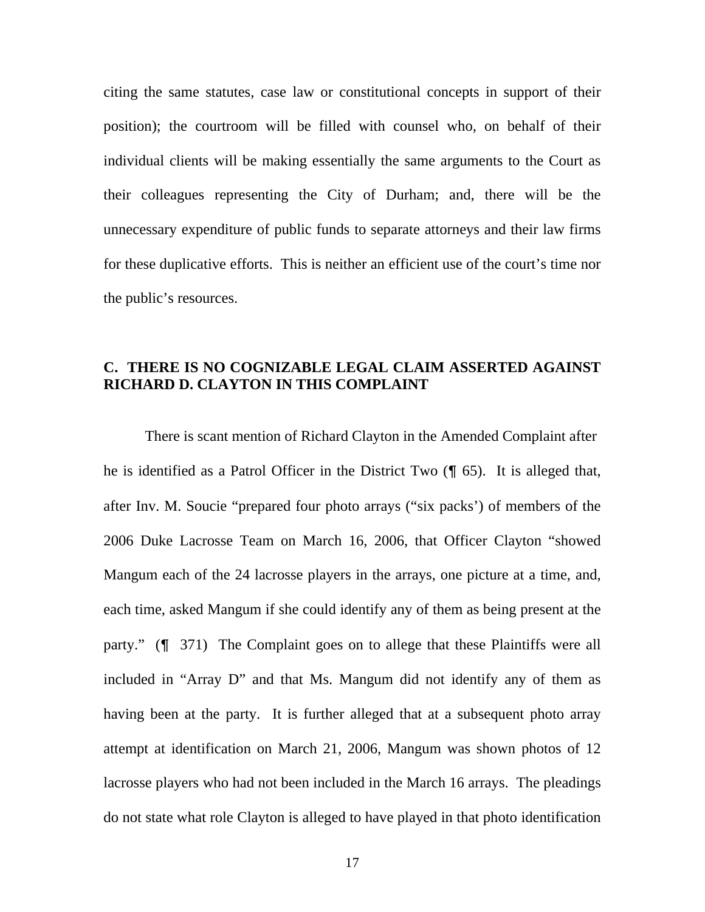citing the same statutes, case law or constitutional concepts in support of their position); the courtroom will be filled with counsel who, on behalf of their individual clients will be making essentially the same arguments to the Court as their colleagues representing the City of Durham; and, there will be the unnecessary expenditure of public funds to separate attorneys and their law firms for these duplicative efforts. This is neither an efficient use of the court's time nor the public's resources.

# **C. THERE IS NO COGNIZABLE LEGAL CLAIM ASSERTED AGAINST RICHARD D. CLAYTON IN THIS COMPLAINT**

There is scant mention of Richard Clayton in the Amended Complaint after he is identified as a Patrol Officer in the District Two (¶ 65). It is alleged that, after Inv. M. Soucie "prepared four photo arrays ("six packs') of members of the 2006 Duke Lacrosse Team on March 16, 2006, that Officer Clayton "showed Mangum each of the 24 lacrosse players in the arrays, one picture at a time, and, each time, asked Mangum if she could identify any of them as being present at the party." (¶ 371) The Complaint goes on to allege that these Plaintiffs were all included in "Array D" and that Ms. Mangum did not identify any of them as having been at the party. It is further alleged that at a subsequent photo array attempt at identification on March 21, 2006, Mangum was shown photos of 12 lacrosse players who had not been included in the March 16 arrays. The pleadings do not state what role Clayton is alleged to have played in that photo identification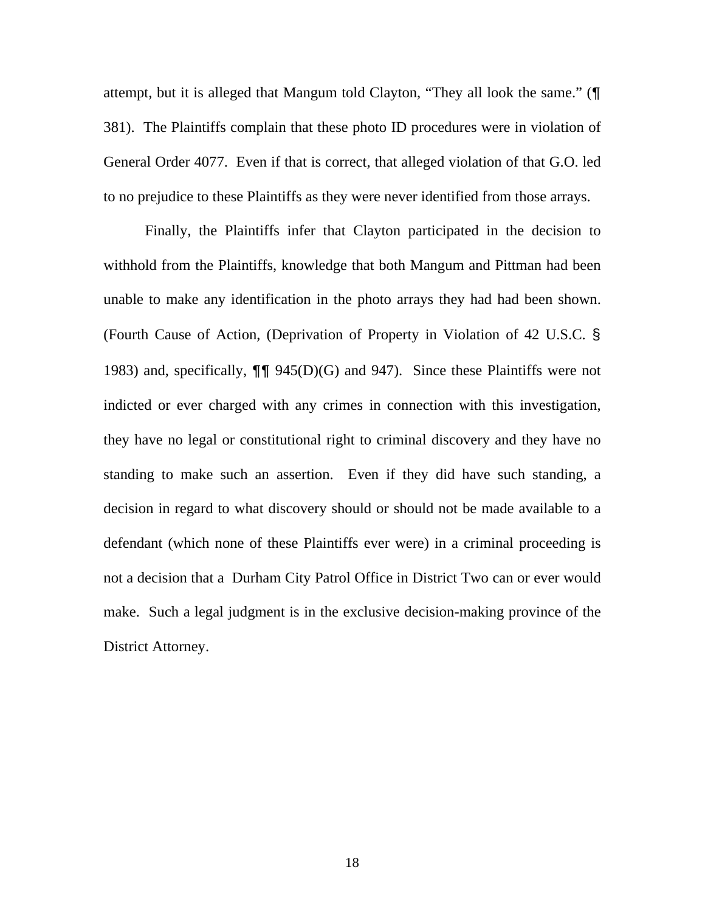attempt, but it is alleged that Mangum told Clayton, "They all look the same." (¶ 381). The Plaintiffs complain that these photo ID procedures were in violation of General Order 4077. Even if that is correct, that alleged violation of that G.O. led to no prejudice to these Plaintiffs as they were never identified from those arrays.

 Finally, the Plaintiffs infer that Clayton participated in the decision to withhold from the Plaintiffs, knowledge that both Mangum and Pittman had been unable to make any identification in the photo arrays they had had been shown. (Fourth Cause of Action, (Deprivation of Property in Violation of 42 U.S.C. § 1983) and, specifically, ¶¶ 945(D)(G) and 947). Since these Plaintiffs were not indicted or ever charged with any crimes in connection with this investigation, they have no legal or constitutional right to criminal discovery and they have no standing to make such an assertion. Even if they did have such standing, a decision in regard to what discovery should or should not be made available to a defendant (which none of these Plaintiffs ever were) in a criminal proceeding is not a decision that a Durham City Patrol Office in District Two can or ever would make. Such a legal judgment is in the exclusive decision-making province of the District Attorney.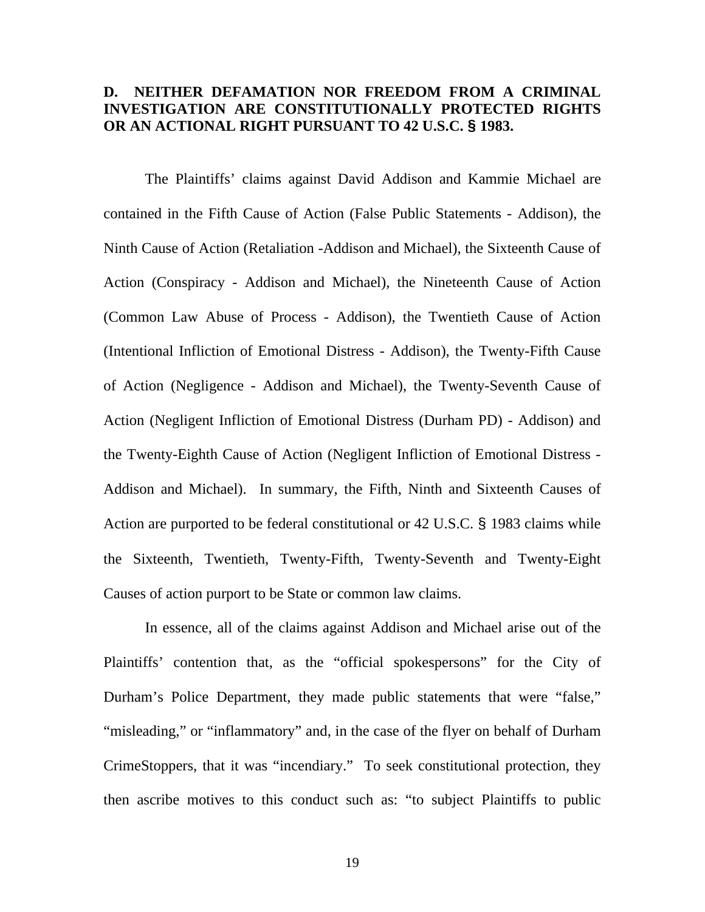## **D. NEITHER DEFAMATION NOR FREEDOM FROM A CRIMINAL INVESTIGATION ARE CONSTITUTIONALLY PROTECTED RIGHTS OR AN ACTIONAL RIGHT PURSUANT TO 42 U.S.C. § 1983.**

The Plaintiffs' claims against David Addison and Kammie Michael are contained in the Fifth Cause of Action (False Public Statements - Addison), the Ninth Cause of Action (Retaliation -Addison and Michael), the Sixteenth Cause of Action (Conspiracy - Addison and Michael), the Nineteenth Cause of Action (Common Law Abuse of Process - Addison), the Twentieth Cause of Action (Intentional Infliction of Emotional Distress - Addison), the Twenty-Fifth Cause of Action (Negligence - Addison and Michael), the Twenty-Seventh Cause of Action (Negligent Infliction of Emotional Distress (Durham PD) - Addison) and the Twenty-Eighth Cause of Action (Negligent Infliction of Emotional Distress - Addison and Michael). In summary, the Fifth, Ninth and Sixteenth Causes of Action are purported to be federal constitutional or 42 U.S.C. § 1983 claims while the Sixteenth, Twentieth, Twenty-Fifth, Twenty-Seventh and Twenty-Eight Causes of action purport to be State or common law claims.

 In essence, all of the claims against Addison and Michael arise out of the Plaintiffs' contention that, as the "official spokespersons" for the City of Durham's Police Department, they made public statements that were "false," "misleading," or "inflammatory" and, in the case of the flyer on behalf of Durham CrimeStoppers, that it was "incendiary." To seek constitutional protection, they then ascribe motives to this conduct such as: "to subject Plaintiffs to public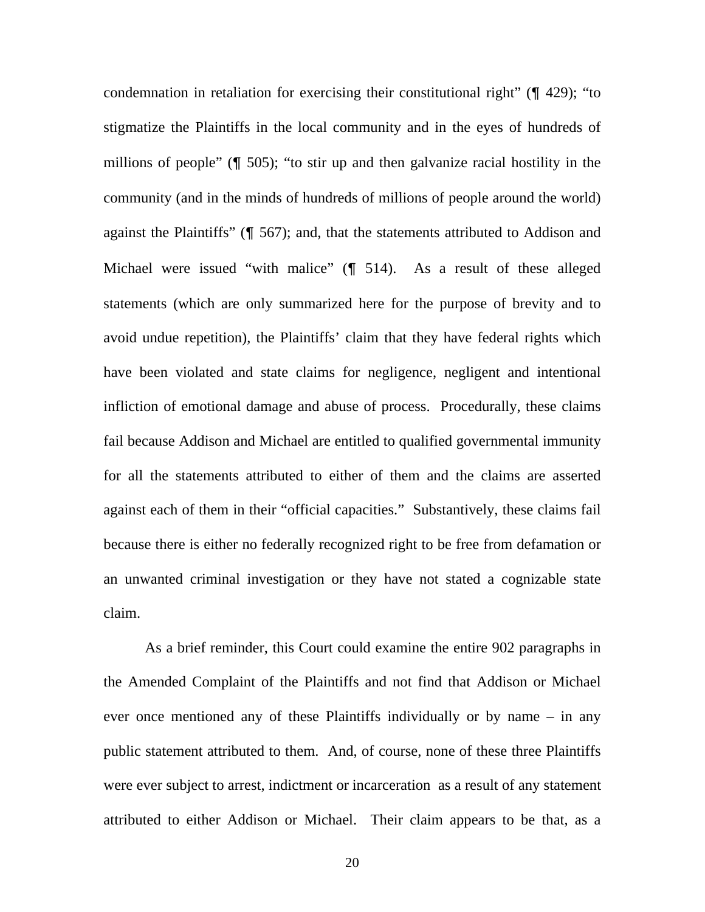condemnation in retaliation for exercising their constitutional right" (¶ 429); "to stigmatize the Plaintiffs in the local community and in the eyes of hundreds of millions of people" (¶ 505); "to stir up and then galvanize racial hostility in the community (and in the minds of hundreds of millions of people around the world) against the Plaintiffs" (¶ 567); and, that the statements attributed to Addison and Michael were issued "with malice" (¶ 514). As a result of these alleged statements (which are only summarized here for the purpose of brevity and to avoid undue repetition), the Plaintiffs' claim that they have federal rights which have been violated and state claims for negligence, negligent and intentional infliction of emotional damage and abuse of process. Procedurally, these claims fail because Addison and Michael are entitled to qualified governmental immunity for all the statements attributed to either of them and the claims are asserted against each of them in their "official capacities." Substantively, these claims fail because there is either no federally recognized right to be free from defamation or an unwanted criminal investigation or they have not stated a cognizable state claim.

 As a brief reminder, this Court could examine the entire 902 paragraphs in the Amended Complaint of the Plaintiffs and not find that Addison or Michael ever once mentioned any of these Plaintiffs individually or by name – in any public statement attributed to them. And, of course, none of these three Plaintiffs were ever subject to arrest, indictment or incarceration as a result of any statement attributed to either Addison or Michael. Their claim appears to be that, as a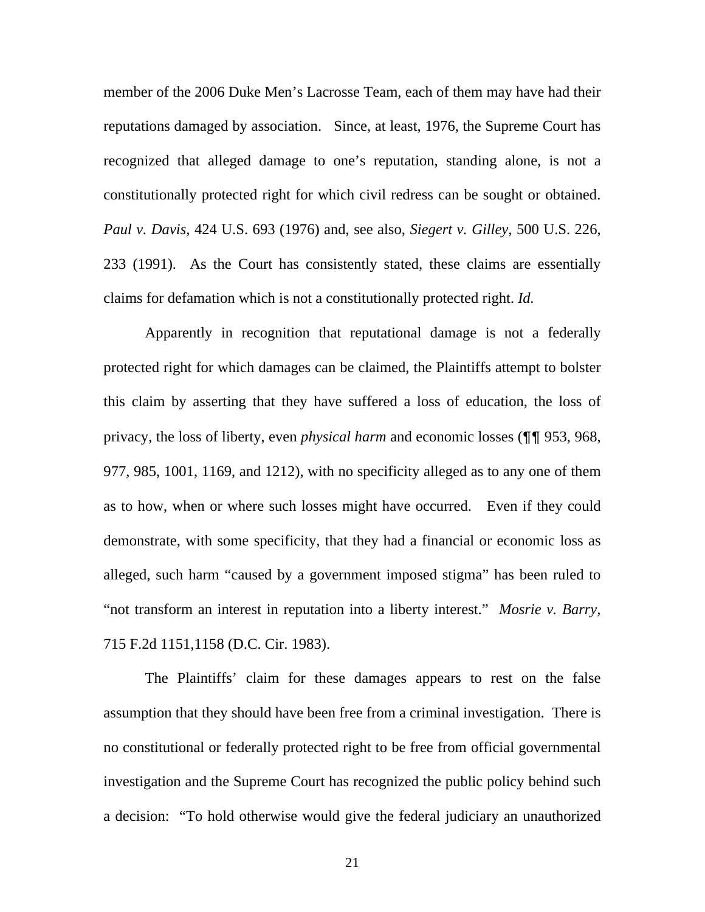member of the 2006 Duke Men's Lacrosse Team, each of them may have had their reputations damaged by association. Since, at least, 1976, the Supreme Court has recognized that alleged damage to one's reputation, standing alone, is not a constitutionally protected right for which civil redress can be sought or obtained. *Paul v. Davis,* 424 U.S. 693 (1976) and, see also, *Siegert v. Gilley,* 500 U.S. 226, 233 (1991). As the Court has consistently stated, these claims are essentially claims for defamation which is not a constitutionally protected right. *Id.* 

Apparently in recognition that reputational damage is not a federally protected right for which damages can be claimed, the Plaintiffs attempt to bolster this claim by asserting that they have suffered a loss of education, the loss of privacy, the loss of liberty, even *physical harm* and economic losses (¶¶ 953, 968, 977, 985, 1001, 1169, and 1212), with no specificity alleged as to any one of them as to how, when or where such losses might have occurred. Even if they could demonstrate, with some specificity, that they had a financial or economic loss as alleged, such harm "caused by a government imposed stigma" has been ruled to "not transform an interest in reputation into a liberty interest." *Mosrie v. Barry,*  715 F.2d 1151,1158 (D.C. Cir. 1983).

The Plaintiffs' claim for these damages appears to rest on the false assumption that they should have been free from a criminal investigation. There is no constitutional or federally protected right to be free from official governmental investigation and the Supreme Court has recognized the public policy behind such a decision: "To hold otherwise would give the federal judiciary an unauthorized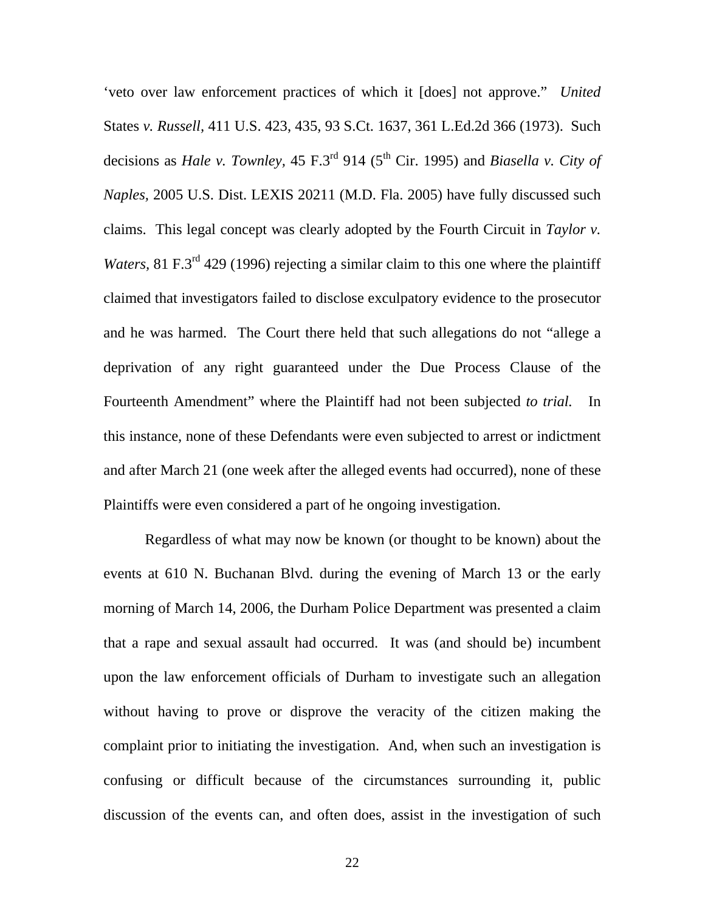'veto over law enforcement practices of which it [does] not approve." *United*  States *v. Russell,* 411 U.S. 423, 435, 93 S.Ct. 1637, 361 L.Ed.2d 366 (1973). Such decisions as *Hale v. Townley*, 45 F.3<sup>rd</sup> 914 (5<sup>th</sup> Cir. 1995) and *Biasella v. City of Naples,* 2005 U.S. Dist. LEXIS 20211 (M.D. Fla. 2005) have fully discussed such claims. This legal concept was clearly adopted by the Fourth Circuit in *Taylor v. Waters, 81 F.3<sup>rd</sup>* 429 (1996) rejecting a similar claim to this one where the plaintiff claimed that investigators failed to disclose exculpatory evidence to the prosecutor and he was harmed. The Court there held that such allegations do not "allege a deprivation of any right guaranteed under the Due Process Clause of the Fourteenth Amendment" where the Plaintiff had not been subjected *to trial.* In this instance, none of these Defendants were even subjected to arrest or indictment and after March 21 (one week after the alleged events had occurred), none of these Plaintiffs were even considered a part of he ongoing investigation.

Regardless of what may now be known (or thought to be known) about the events at 610 N. Buchanan Blvd. during the evening of March 13 or the early morning of March 14, 2006, the Durham Police Department was presented a claim that a rape and sexual assault had occurred. It was (and should be) incumbent upon the law enforcement officials of Durham to investigate such an allegation without having to prove or disprove the veracity of the citizen making the complaint prior to initiating the investigation. And, when such an investigation is confusing or difficult because of the circumstances surrounding it, public discussion of the events can, and often does, assist in the investigation of such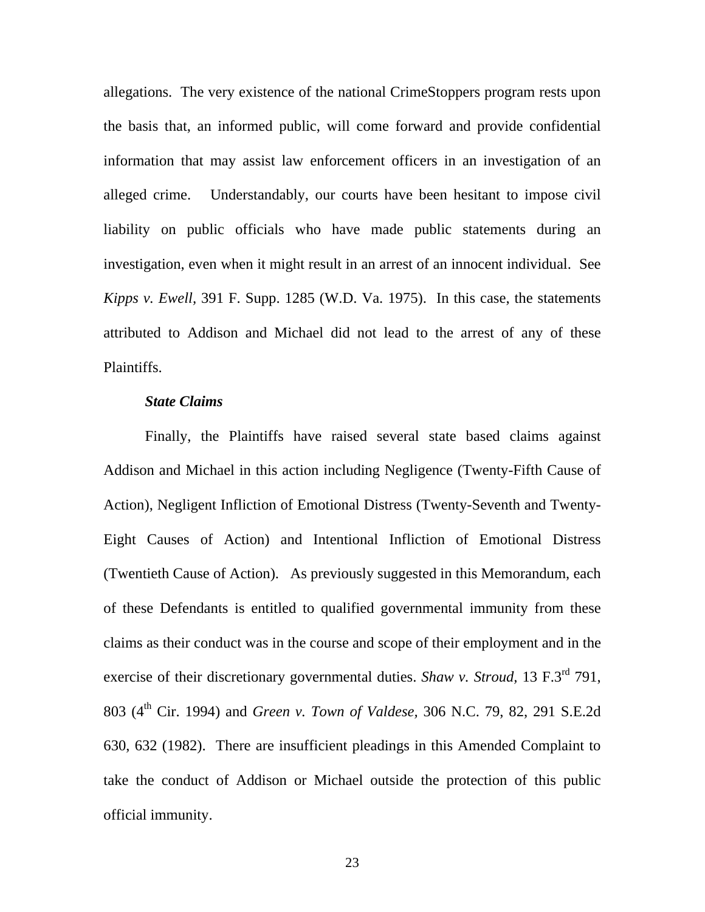allegations. The very existence of the national CrimeStoppers program rests upon the basis that, an informed public, will come forward and provide confidential information that may assist law enforcement officers in an investigation of an alleged crime. Understandably, our courts have been hesitant to impose civil liability on public officials who have made public statements during an investigation, even when it might result in an arrest of an innocent individual. See *Kipps v. Ewell,* 391 F. Supp. 1285 (W.D. Va. 1975). In this case, the statements attributed to Addison and Michael did not lead to the arrest of any of these Plaintiffs.

### *State Claims*

Finally, the Plaintiffs have raised several state based claims against Addison and Michael in this action including Negligence (Twenty-Fifth Cause of Action), Negligent Infliction of Emotional Distress (Twenty-Seventh and Twenty-Eight Causes of Action) and Intentional Infliction of Emotional Distress (Twentieth Cause of Action). As previously suggested in this Memorandum, each of these Defendants is entitled to qualified governmental immunity from these claims as their conduct was in the course and scope of their employment and in the exercise of their discretionary governmental duties. *Shaw v. Stroud,* 13 F.3rd 791, 803 (4th Cir. 1994) and *Green v. Town of Valdese,* 306 N.C. 79, 82, 291 S.E.2d 630, 632 (1982). There are insufficient pleadings in this Amended Complaint to take the conduct of Addison or Michael outside the protection of this public official immunity.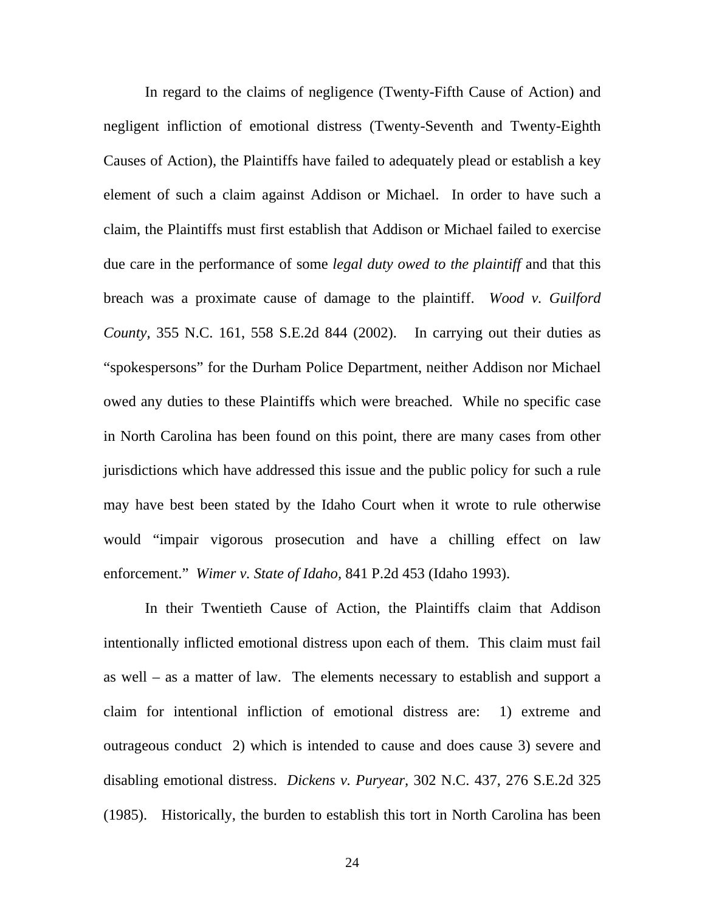In regard to the claims of negligence (Twenty-Fifth Cause of Action) and negligent infliction of emotional distress (Twenty-Seventh and Twenty-Eighth Causes of Action), the Plaintiffs have failed to adequately plead or establish a key element of such a claim against Addison or Michael. In order to have such a claim, the Plaintiffs must first establish that Addison or Michael failed to exercise due care in the performance of some *legal duty owed to the plaintiff* and that this breach was a proximate cause of damage to the plaintiff. *Wood v. Guilford County,* 355 N.C. 161, 558 S.E.2d 844 (2002). In carrying out their duties as "spokespersons" for the Durham Police Department, neither Addison nor Michael owed any duties to these Plaintiffs which were breached. While no specific case in North Carolina has been found on this point, there are many cases from other jurisdictions which have addressed this issue and the public policy for such a rule may have best been stated by the Idaho Court when it wrote to rule otherwise would "impair vigorous prosecution and have a chilling effect on law enforcement." *Wimer v. State of Idaho,* 841 P.2d 453 (Idaho 1993).

In their Twentieth Cause of Action, the Plaintiffs claim that Addison intentionally inflicted emotional distress upon each of them. This claim must fail as well – as a matter of law. The elements necessary to establish and support a claim for intentional infliction of emotional distress are: 1) extreme and outrageous conduct 2) which is intended to cause and does cause 3) severe and disabling emotional distress. *Dickens v. Puryear,* 302 N.C. 437, 276 S.E.2d 325 (1985). Historically, the burden to establish this tort in North Carolina has been

24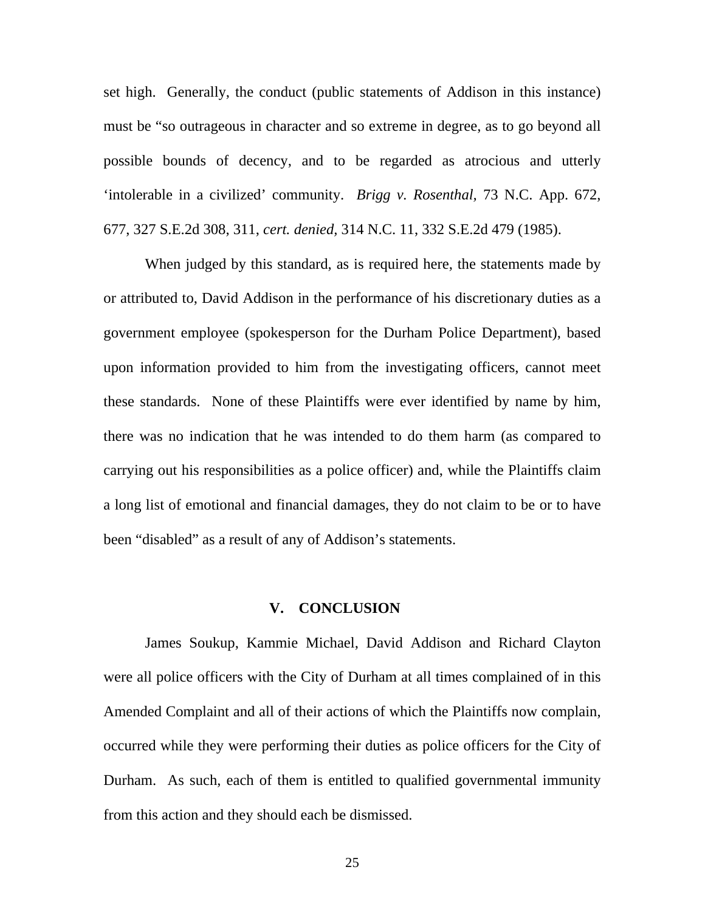set high. Generally, the conduct (public statements of Addison in this instance) must be "so outrageous in character and so extreme in degree, as to go beyond all possible bounds of decency, and to be regarded as atrocious and utterly 'intolerable in a civilized' community. *Brigg v. Rosenthal,* 73 N.C. App. 672, 677, 327 S.E.2d 308, 311, *cert. denied,* 314 N.C. 11, 332 S.E.2d 479 (1985).

When judged by this standard, as is required here, the statements made by or attributed to, David Addison in the performance of his discretionary duties as a government employee (spokesperson for the Durham Police Department), based upon information provided to him from the investigating officers, cannot meet these standards. None of these Plaintiffs were ever identified by name by him, there was no indication that he was intended to do them harm (as compared to carrying out his responsibilities as a police officer) and, while the Plaintiffs claim a long list of emotional and financial damages, they do not claim to be or to have been "disabled" as a result of any of Addison's statements.

### **V. CONCLUSION**

James Soukup, Kammie Michael, David Addison and Richard Clayton were all police officers with the City of Durham at all times complained of in this Amended Complaint and all of their actions of which the Plaintiffs now complain, occurred while they were performing their duties as police officers for the City of Durham. As such, each of them is entitled to qualified governmental immunity from this action and they should each be dismissed.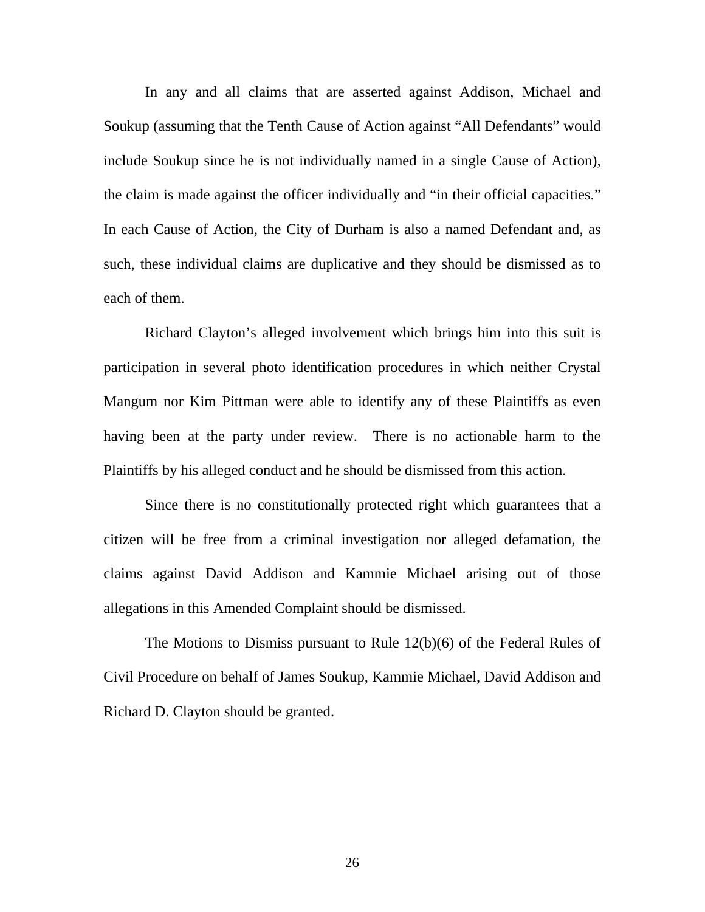In any and all claims that are asserted against Addison, Michael and Soukup (assuming that the Tenth Cause of Action against "All Defendants" would include Soukup since he is not individually named in a single Cause of Action), the claim is made against the officer individually and "in their official capacities." In each Cause of Action, the City of Durham is also a named Defendant and, as such, these individual claims are duplicative and they should be dismissed as to each of them.

 Richard Clayton's alleged involvement which brings him into this suit is participation in several photo identification procedures in which neither Crystal Mangum nor Kim Pittman were able to identify any of these Plaintiffs as even having been at the party under review. There is no actionable harm to the Plaintiffs by his alleged conduct and he should be dismissed from this action.

 Since there is no constitutionally protected right which guarantees that a citizen will be free from a criminal investigation nor alleged defamation, the claims against David Addison and Kammie Michael arising out of those allegations in this Amended Complaint should be dismissed.

 The Motions to Dismiss pursuant to Rule 12(b)(6) of the Federal Rules of Civil Procedure on behalf of James Soukup, Kammie Michael, David Addison and Richard D. Clayton should be granted.

26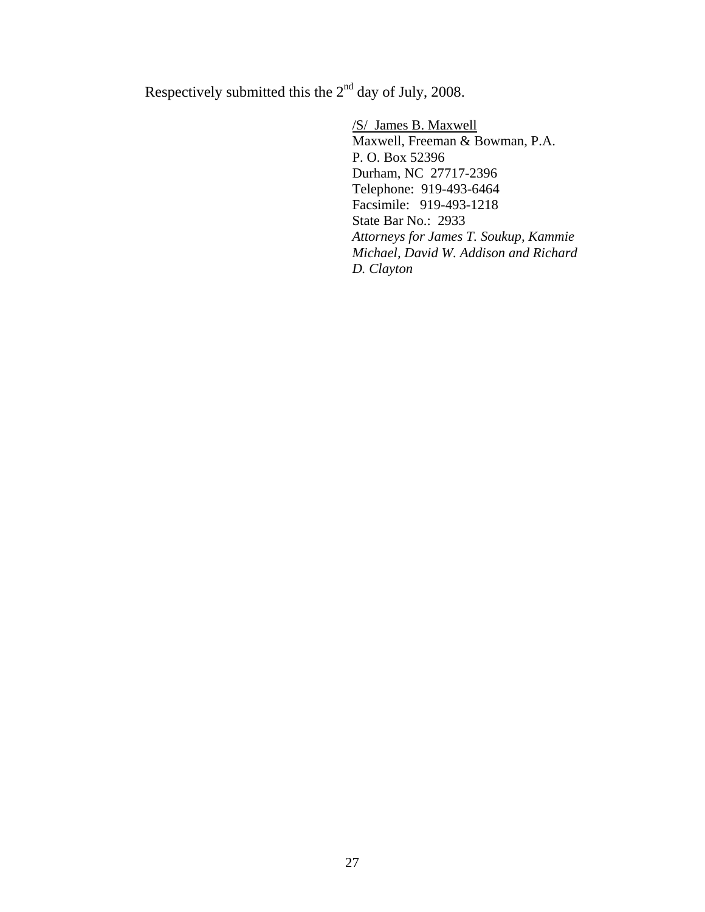Respectively submitted this the  $2<sup>nd</sup>$  day of July, 2008.

 /S/ James B. Maxwell Maxwell, Freeman & Bowman, P.A. P. O. Box 52396 Durham, NC 27717-2396 Telephone: 919-493-6464 Facsimile: 919-493-1218 State Bar No.: 2933 *Attorneys for James T. Soukup, Kammie Michael, David W. Addison and Richard D. Clayton*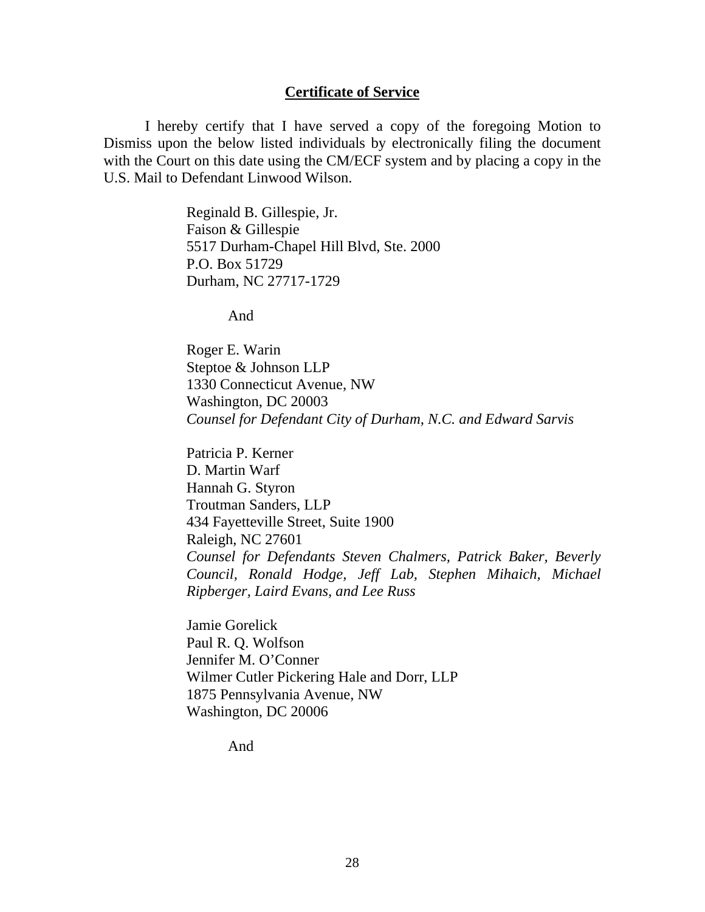### **Certificate of Service**

 I hereby certify that I have served a copy of the foregoing Motion to Dismiss upon the below listed individuals by electronically filing the document with the Court on this date using the CM/ECF system and by placing a copy in the U.S. Mail to Defendant Linwood Wilson.

> Reginald B. Gillespie, Jr. Faison & Gillespie 5517 Durham-Chapel Hill Blvd, Ste. 2000 P.O. Box 51729 Durham, NC 27717-1729

> > And

 Roger E. Warin Steptoe & Johnson LLP 1330 Connecticut Avenue, NW Washington, DC 20003 *Counsel for Defendant City of Durham, N.C. and Edward Sarvis*

Patricia P. Kerner D. Martin Warf Hannah G. Styron Troutman Sanders, LLP 434 Fayetteville Street, Suite 1900 Raleigh, NC 27601 *Counsel for Defendants Steven Chalmers, Patrick Baker, Beverly Council, Ronald Hodge, Jeff Lab, Stephen Mihaich, Michael Ripberger, Laird Evans, and Lee Russ* 

Jamie Gorelick Paul R. Q. Wolfson Jennifer M. O'Conner Wilmer Cutler Pickering Hale and Dorr, LLP 1875 Pennsylvania Avenue, NW Washington, DC 20006

And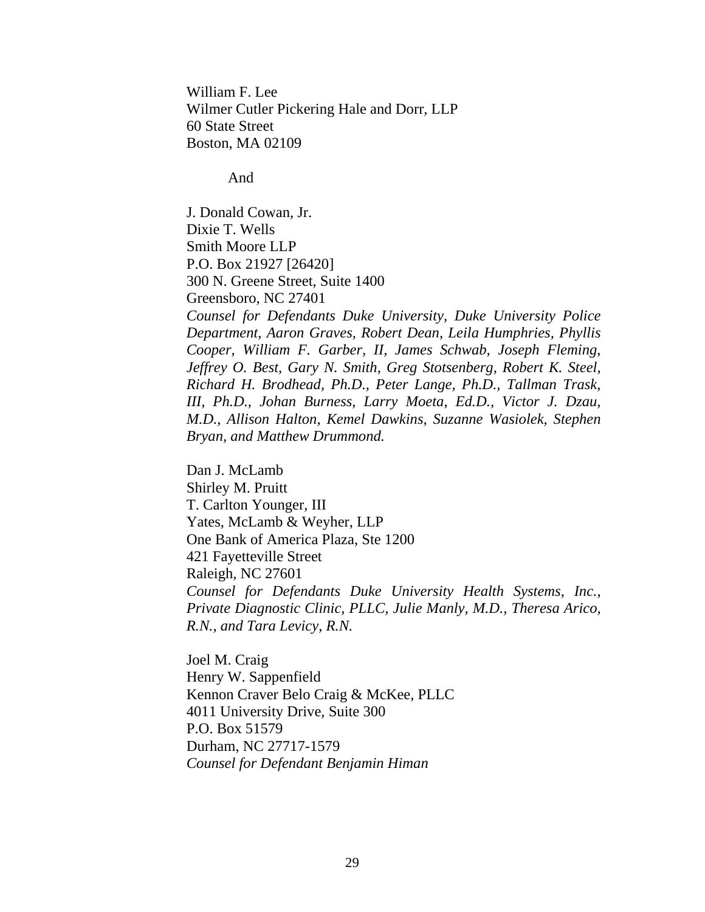William F. Lee Wilmer Cutler Pickering Hale and Dorr, LLP 60 State Street Boston, MA 02109

And

J. Donald Cowan, Jr. Dixie T. Wells Smith Moore LLP P.O. Box 21927 [26420] 300 N. Greene Street, Suite 1400 Greensboro, NC 27401 *Counsel for Defendants Duke University, Duke University Police Department, Aaron Graves, Robert Dean, Leila Humphries, Phyllis Cooper, William F. Garber, II, James Schwab, Joseph Fleming, Jeffrey O. Best, Gary N. Smith, Greg Stotsenberg, Robert K. Steel,* 

*Richard H. Brodhead, Ph.D., Peter Lange, Ph.D., Tallman Trask, III, Ph.D., Johan Burness, Larry Moeta, Ed.D., Victor J. Dzau, M.D., Allison Halton, Kemel Dawkins, Suzanne Wasiolek, Stephen Bryan, and Matthew Drummond.* 

Dan J. McLamb Shirley M. Pruitt T. Carlton Younger, III Yates, McLamb & Weyher, LLP One Bank of America Plaza, Ste 1200 421 Fayetteville Street Raleigh, NC 27601 *Counsel for Defendants Duke University Health Systems, Inc., Private Diagnostic Clinic, PLLC, Julie Manly, M.D., Theresa Arico, R.N., and Tara Levicy, R.N.*

Joel M. Craig Henry W. Sappenfield Kennon Craver Belo Craig & McKee, PLLC 4011 University Drive, Suite 300 P.O. Box 51579 Durham, NC 27717-1579 *Counsel for Defendant Benjamin Himan*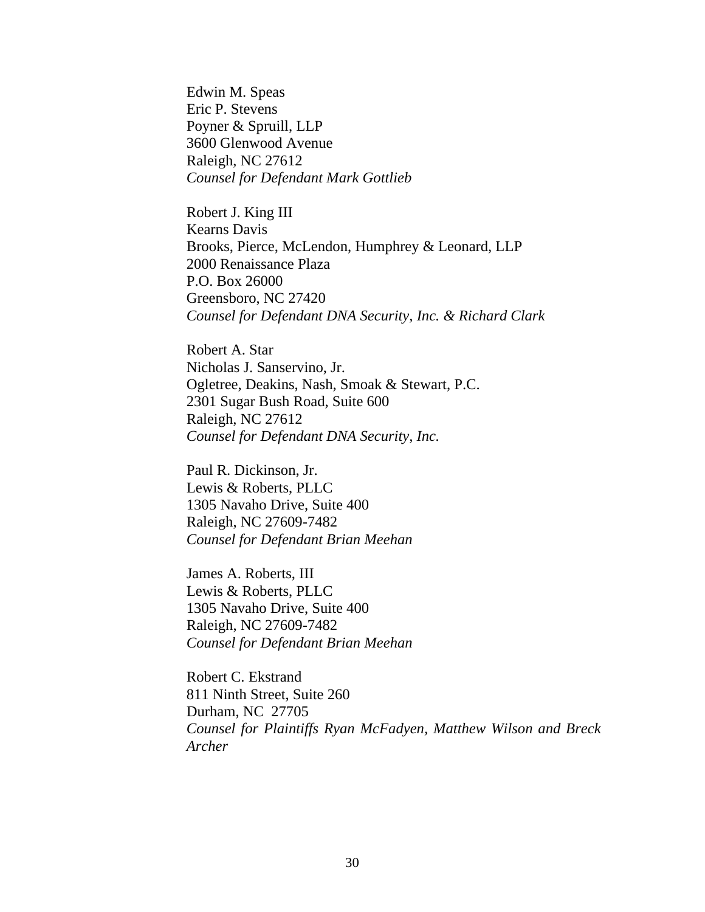Edwin M. Speas Eric P. Stevens Poyner & Spruill, LLP 3600 Glenwood Avenue Raleigh, NC 27612 *Counsel for Defendant Mark Gottlieb*

Robert J. King III Kearns Davis Brooks, Pierce, McLendon, Humphrey & Leonard, LLP 2000 Renaissance Plaza P.O. Box 26000 Greensboro, NC 27420 *Counsel for Defendant DNA Security, Inc. & Richard Clark*

Robert A. Star Nicholas J. Sanservino, Jr. Ogletree, Deakins, Nash, Smoak & Stewart, P.C. 2301 Sugar Bush Road, Suite 600 Raleigh, NC 27612 *Counsel for Defendant DNA Security, Inc.*

Paul R. Dickinson, Jr. Lewis & Roberts, PLLC 1305 Navaho Drive, Suite 400 Raleigh, NC 27609-7482 *Counsel for Defendant Brian Meehan*

James A. Roberts, III Lewis & Roberts, PLLC 1305 Navaho Drive, Suite 400 Raleigh, NC 27609-7482 *Counsel for Defendant Brian Meehan*

Robert C. Ekstrand 811 Ninth Street, Suite 260 Durham, NC 27705 *Counsel for Plaintiffs Ryan McFadyen, Matthew Wilson and Breck Archer*